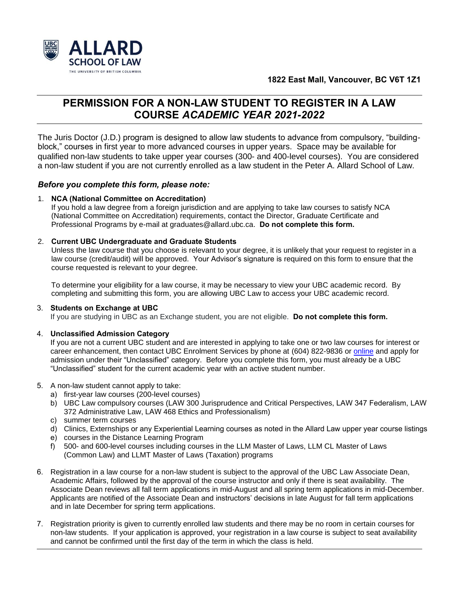



# **PERMISSION FOR A NON-LAW STUDENT TO REGISTER IN A LAW COURSE** *ACADEMIC YEAR 2021-2022*

The Juris Doctor (J.D.) program is designed to allow law students to advance from compulsory, "buildingblock," courses in first year to more advanced courses in upper years. Space may be available for qualified non-law students to take upper year courses (300- and 400-level courses). You are considered a non-law student if you are not currently enrolled as a law student in the Peter A. Allard School of Law.

## *Before you complete this form, please note:*

### 1. **NCA (National Committee on Accreditation)**

If you hold a law degree from a foreign jurisdiction and are applying to take law courses to satisfy NCA (National Committee on Accreditation) requirements, contact the Director, Graduate Certificate and Professional Programs by e-mail at [graduates@allard.ubc.ca.](mailto:graduates@allard.ubc.ca) **Do not complete this form.**

### 2. **Current UBC Undergraduate and Graduate Students**

Unless the law course that you choose is relevant to your degree, it is unlikely that your request to register in a law course (credit/audit) will be approved. Your Advisor's signature is required on this form to ensure that the course requested is relevant to your degree.

To determine your eligibility for a law course, it may be necessary to view your UBC academic record. By completing and submitting this form, you are allowing UBC Law to access your UBC academic record.

### 3. **Students on Exchange at UBC**

If you are studying in UBC as an Exchange student, you are not eligible. **Do not complete this form.**

### 4. **Unclassified Admission Category**

If you are not a current UBC student and are interested in applying to take one or two law courses for interest or career enhancement, then contact UBC Enrolment Services by phone at (604) 822-9836 o[r online](https://students.ubc.ca/enrolment/courses/non-degree-studies/non-degree-studies-unclassified) and apply for admission under their "Unclassified" category. Before you complete this form, you must already be a UBC "Unclassified" student for the current academic year with an active student number.

### 5. A non-law student cannot apply to take:

- a) first-year law courses (200-level courses)
- b) UBC Law compulsory courses (LAW 300 Jurisprudence and Critical Perspectives, LAW 347 Federalism, LAW 372 Administrative Law, LAW 468 Ethics and Professionalism)
- c) summer term courses
- d) Clinics, Externships or any Experiential Learning courses as noted in the Allard Law upper year course listings
- e) courses in the Distance Learning Program
- f) 500- and 600-level courses including courses in the LLM Master of Laws, LLM CL Master of Laws (Common Law) and LLMT Master of Laws (Taxation) programs
- 6. Registration in a law course for a non-law student is subject to the approval of the UBC Law Associate Dean, Academic Affairs, followed by the approval of the course instructor and only if there is seat availability. The Associate Dean reviews all fall term applications in mid-August and all spring term applications in mid-December. Applicants are notified of the Associate Dean and instructors' decisions in late August for fall term applications and in late December for spring term applications.
- 7. Registration priority is given to currently enrolled law students and there may be no room in certain courses for non-law students. If your application is approved, your registration in a law course is subject to seat availability and cannot be confirmed until the first day of the term in which the class is held.